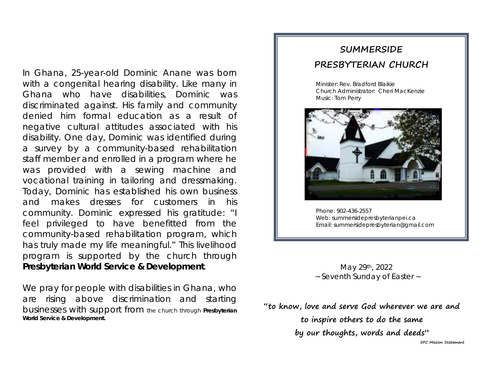In Ghana, 25-year-old Dominic Anane was born with a congenital hearing disability. Like many in Ghana who have disabilities, Dominic was discriminated against. His family and community denied him formal education as a result of negative cultural attitudes associated with his disability. One day, Dominic was identified during a survey by a community-based rehabilitation staff member and enrolled in a program where he was provided with a sewing machine and vocational training in tailoring and dressmaking. Today, Dominic has established his own business and makes dresses for customers in his community. Dominic expressed his gratitude: "I feel privileged to have benefitted from the community-based rehabilitation program, which has truly made my life meaningful." This livelihood program is supported by the church through *Presbyterian World Service & Development*.

We pray for people with disabilities in Ghana, who are rising above discrimination and starting businesses with support from the church through *Presbyterian World Service & Development.*

# **SUMMERSIDE PRESBYTERIAN CHURCH**

Minister: Rev. Bradford Blaikie Church Administrator: Cheri MacKenzie Music: Tom Perry



Phone: 902-436-2557 Web: summersidepresbyterianpei.ca Email: summersidepresbyterian@gmail.com

j

May 29th, 2022 ~ Seventh Sunday of Easter ~

**"to know, love and serve God wherever we are and to inspire others to do the same by our thoughts, words and deeds" SPC Mission Statement**